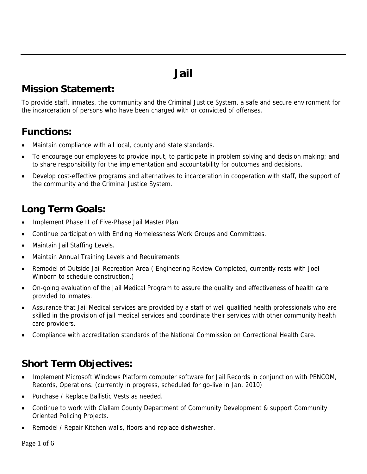# **Jail**

#### **Mission Statement:**

To provide staff, inmates, the community and the Criminal Justice System, a safe and secure environment for the incarceration of persons who have been charged with or convicted of offenses.

#### **Functions:**

- Maintain compliance with all local, county and state standards.
- To encourage our employees to provide input, to participate in problem solving and decision making; and to share responsibility for the implementation and accountability for outcomes and decisions.
- Develop cost-effective programs and alternatives to incarceration in cooperation with staff, the support of the community and the Criminal Justice System.

#### **Long Term Goals:**

- Implement Phase II of Five-Phase Jail Master Plan
- Continue participation with Ending Homelessness Work Groups and Committees.
- Maintain Jail Staffing Levels.
- Maintain Annual Training Levels and Requirements
- Remodel of Outside Jail Recreation Area ( Engineering Review Completed, currently rests with Joel Winborn to schedule construction.)
- On-going evaluation of the Jail Medical Program to assure the quality and effectiveness of health care provided to inmates.
- Assurance that Jail Medical services are provided by a staff of well qualified health professionals who are skilled in the provision of jail medical services and coordinate their services with other community health care providers.
- Compliance with accreditation standards of the National Commission on Correctional Health Care.

### **Short Term Objectives:**

- Implement Microsoft Windows Platform computer software for Jail Records in conjunction with PENCOM, Records, Operations. (currently in progress, scheduled for go-live in Jan. 2010)
- Purchase / Replace Ballistic Vests as needed.
- Continue to work with Clallam County Department of Community Development & support Community Oriented Policing Projects.
- Remodel / Repair Kitchen walls, floors and replace dishwasher.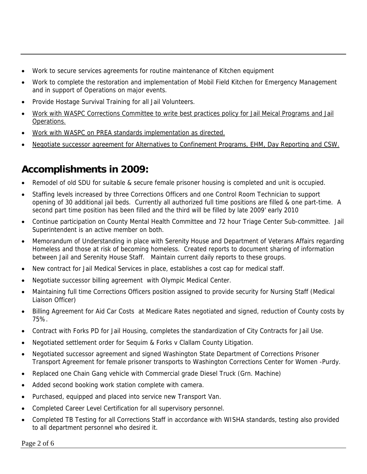- Work to secure services agreements for routine maintenance of Kitchen equipment
- Work to complete the restoration and implementation of Mobil Field Kitchen for Emergency Management and in support of Operations on major events.
- Provide Hostage Survival Training for all Jail Volunteers.
- Work with WASPC Corrections Committee to write best practices policy for Jail Meical Programs and Jail Operations.
- Work with WASPC on PREA standards implementation as directed.
- Negotiate successor agreement for Alternatives to Confinement Programs, EHM, Day Reporting and CSW.

#### **Accomplishments in 2009:**

- Remodel of old SDU for suitable & secure female prisoner housing is completed and unit is occupied.
- Staffing levels increased by three Corrections Officers and one Control Room Technician to support opening of 30 additional jail beds. Currently all authorized full time positions are filled & one part-time. A second part time position has been filled and the third will be filled by late 2009' early 2010
- Continue participation on County Mental Health Committee and 72 hour Triage Center Sub-committee. Jail Superintendent is an active member on both.
- Memorandum of Understanding in place with Serenity House and Department of Veterans Affairs regarding Homeless and those at risk of becoming homeless. Created reports to document sharing of information between Jail and Serenity House Staff. Maintain current daily reports to these groups.
- New contract for Jail Medical Services in place, establishes a cost cap for medical staff.
- Negotiate successor billing agreement with Olympic Medical Center.
- Maintaining full time Corrections Officers position assigned to provide security for Nursing Staff (Medical Liaison Officer)
- Billing Agreement for Aid Car Costs at Medicare Rates negotiated and signed, reduction of County costs by 75%.
- Contract with Forks PD for Jail Housing, completes the standardization of City Contracts for Jail Use.
- Negotiated settlement order for Sequim & Forks v Clallam County Litigation.
- Negotiated successor agreement and signed Washington State Department of Corrections Prisoner Transport Agreement for female prisoner transports to Washington Corrections Center for Women -Purdy.
- Replaced one Chain Gang vehicle with Commercial grade Diesel Truck (Grn. Machine)
- Added second booking work station complete with camera.
- Purchased, equipped and placed into service new Transport Van.
- Completed Career Level Certification for all supervisory personnel.
- Completed TB Testing for all Corrections Staff in accordance with WISHA standards, testing also provided to all department personnel who desired it.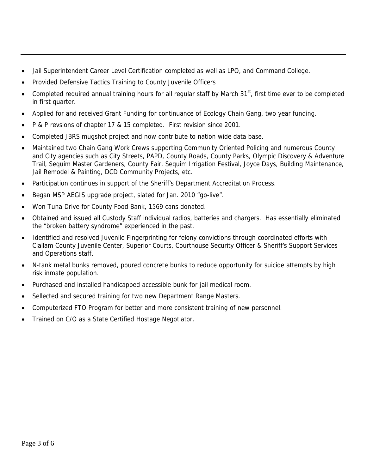- Jail Superintendent Career Level Certification completed as well as LPO, and Command College.
- Provided Defensive Tactics Training to County Juvenile Officers
- Completed required annual training hours for all regular staff by March 31<sup>st</sup>, first time ever to be completed in first quarter.
- Applied for and received Grant Funding for continuance of Ecology Chain Gang, two year funding.
- P & P revsions of chapter 17 & 15 completed. First revision since 2001.
- Completed JBRS mugshot project and now contribute to nation wide data base.
- Maintained two Chain Gang Work Crews supporting Community Oriented Policing and numerous County and City agencies such as City Streets, PAPD, County Roads, County Parks, Olympic Discovery & Adventure Trail, Sequim Master Gardeners, County Fair, Sequim Irrigation Festival, Joyce Days, Building Maintenance, Jail Remodel & Painting, DCD Community Projects, etc.
- Participation continues in support of the Sheriff's Department Accreditation Process.
- Began MSP AEGIS upgrade project, slated for Jan. 2010 "go-live".
- Won Tuna Drive for County Food Bank, 1569 cans donated.
- Obtained and issued all Custody Staff individual radios, batteries and chargers. Has essentially eliminated the "broken battery syndrome" experienced in the past.
- Identified and resolved Juvenile Fingerprinting for felony convictions through coordinated efforts with Clallam County Juvenile Center, Superior Courts, Courthouse Security Officer & Sheriff's Support Services and Operations staff.
- N-tank metal bunks removed, poured concrete bunks to reduce opportunity for suicide attempts by high risk inmate population.
- Purchased and installed handicapped accessible bunk for jail medical room.
- Sellected and secured training for two new Department Range Masters.
- Computerized FTO Program for better and more consistent training of new personnel.
- Trained on C/O as a State Certified Hostage Negotiator.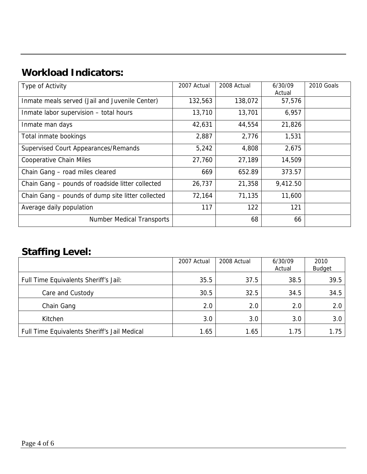## **Workload Indicators:**

| Type of Activity                                  | 2007 Actual | 2008 Actual | 6/30/09<br>Actual | 2010 Goals |
|---------------------------------------------------|-------------|-------------|-------------------|------------|
| Inmate meals served (Jail and Juvenile Center)    | 132,563     | 138,072     | 57,576            |            |
| Inmate labor supervision - total hours            | 13,710      | 13,701      | 6,957             |            |
| Inmate man days                                   | 42,631      | 44,554      | 21,826            |            |
| Total inmate bookings                             | 2,887       | 2,776       | 1,531             |            |
| Supervised Court Appearances/Remands              | 5,242       | 4,808       | 2,675             |            |
| <b>Cooperative Chain Miles</b>                    | 27,760      | 27,189      | 14,509            |            |
| Chain Gang - road miles cleared                   | 669         | 652.89      | 373.57            |            |
| Chain Gang – pounds of roadside litter collected  | 26,737      | 21,358      | 9,412.50          |            |
| Chain Gang – pounds of dump site litter collected | 72,164      | 71,135      | 11,600            |            |
| Average daily population                          | 117         | 122         | 121               |            |
| <b>Number Medical Transports</b>                  |             | 68          | 66                |            |

#### **Staffing Level:**

|                                              | 2007 Actual | 2008 Actual | 6/30/09<br>Actual | 2010<br><b>Budget</b> |
|----------------------------------------------|-------------|-------------|-------------------|-----------------------|
| Full Time Equivalents Sheriff's Jail:        | 35.5        | 37.5        | 38.5              | 39.5                  |
| Care and Custody                             | 30.5        | 32.5        | 34.5              | 34.5                  |
| Chain Gang                                   | 2.0         | 2.0         | 2.0               | 2.0                   |
| Kitchen                                      | 3.0         | 3.0         | 3.0               | 3.0                   |
| Full Time Equivalents Sheriff's Jail Medical | 1.65        | 1.65        | 1.75              | 1.75                  |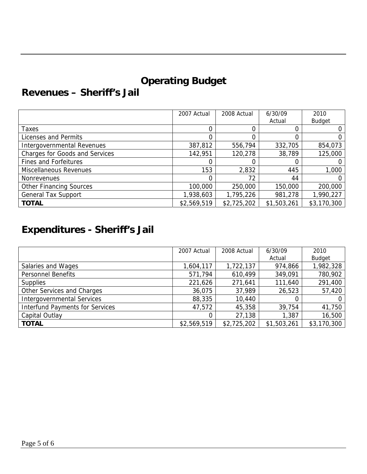## **Operating Budget**

#### **Revenues – Sheriff's Jail**

|                                       | 2007 Actual | 2008 Actual | 6/30/09     | 2010          |
|---------------------------------------|-------------|-------------|-------------|---------------|
|                                       |             |             | Actual      | <b>Budget</b> |
| Taxes                                 |             |             |             |               |
| Licenses and Permits                  | 0           |             |             |               |
| Intergovernmental Revenues            | 387,812     | 556,794     | 332,705     | 854,073       |
| <b>Charges for Goods and Services</b> | 142,951     | 120,278     | 38,789      | 125,000       |
| <b>Fines and Forfeitures</b>          |             |             |             |               |
| Miscellaneous Revenues                | 153         | 2,832       | 445         | 1,000         |
| Nonrevenues                           | 0           | 72          | 44          |               |
| <b>Other Financing Sources</b>        | 100,000     | 250,000     | 150,000     | 200,000       |
| <b>General Tax Support</b>            | 1,938,603   | 1,795,226   | 981,278     | 1,990,227     |
| <b>TOTAL</b>                          | \$2,569,519 | \$2,725,202 | \$1,503,261 | \$3,170,300   |

## **Expenditures - Sheriff's Jail**

|                                        | 2007 Actual | 2008 Actual | 6/30/09     | 2010          |
|----------------------------------------|-------------|-------------|-------------|---------------|
|                                        |             |             | Actual      | <b>Budget</b> |
| Salaries and Wages                     | 1,604,117   | 1,722,137   | 974,866     | 1,982,328     |
| <b>Personnel Benefits</b>              | 571,794     | 610,499     | 349,091     | 780,902       |
| <b>Supplies</b>                        | 221,626     | 271,641     | 111,640     | 291,400       |
| Other Services and Charges             | 36,075      | 37,989      | 26,523      | 57,420        |
| <b>Intergovernmental Services</b>      | 88,335      | 10,440      |             | 0             |
| <b>Interfund Payments for Services</b> | 47,572      | 45,358      | 39,754      | 41,750        |
| Capital Outlay                         |             | 27,138      | 1,387       | 16,500        |
| <b>TOTAL</b>                           | \$2,569,519 | \$2,725,202 | \$1,503,261 | \$3,170,300   |